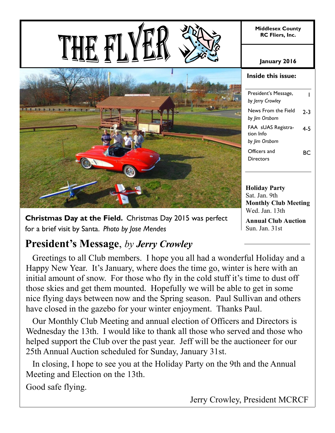**Middlesex County RC Fliers, Inc.**

**January 2016**

**Inside this issue:**

| President's Message,<br>by Jerry Crowley |         |
|------------------------------------------|---------|
| News From the Field<br>by Jim Orsborn    | $2 - 3$ |
| FAA sUAS Registra-<br>tion Info          | 4-5     |
| by Jim Orsborn                           |         |
| Officers and<br>Directors                | RC      |

**Holiday Party** Sat. Jan. 9th **Monthly Club Meeting**  Wed. Jan. 13th

**Annual Club Auction**  Sun. Jan. 31st

### **Christmas Day at the Field.** Christmas Day 2015 was perfect for a brief visit by Santa. *Photo by Jose Mendes*

# **President's Message**, *by Jerry Crowley*

 Greetings to all Club members. I hope you all had a wonderful Holiday and a Happy New Year. It's January, where does the time go, winter is here with an initial amount of snow. For those who fly in the cold stuff it's time to dust off those skies and get them mounted. Hopefully we will be able to get in some nice flying days between now and the Spring season. Paul Sullivan and others have closed in the gazebo for your winter enjoyment. Thanks Paul.

 Our Monthly Club Meeting and annual election of Officers and Directors is Wednesday the 13th. I would like to thank all those who served and those who helped support the Club over the past year. Jeff will be the auctioneer for our 25th Annual Auction scheduled for Sunday, January 31st.

 In closing, I hope to see you at the Holiday Party on the 9th and the Annual Meeting and Election on the 13th.

Good safe flying.

Jerry Crowley, President MCRCF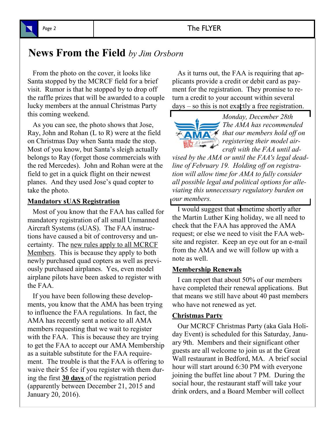### Page 2 The FLYER

## **News From the Field** *by Jim Orsborn*

 From the photo on the cover, it looks like Santa stopped by the MCRCF field for a brief visit. Rumor is that he stopped by to drop off the raffle prizes that will be awarded to a couple lucky members at the annual Christmas Party this coming weekend.

 As you can see, the photo shows that Jose, Ray, John and Rohan (L to R) were at the field on Christmas Day when Santa made the stop. Most of you know, but Santa's sleigh actually belongs to Ray (forget those commercials with the red Mercedes). John and Rohan were at the field to get in a quick flight on their newest planes. And they used Jose's quad copter to take the photo.

#### **Mandatory sUAS Registration**

 Most of you know that the FAA has called for mandatory registration of all small Unmanned Aircraft Systems (sUAS). The FAA instructions have caused a bit of controversy and uncertainty. The new rules apply to all MCRCF Members. This is because they apply to both newly purchased quad copters as well as previously purchased airplanes. Yes, even model airplane pilots have been asked to register with the FAA.

 If you have been following these developments, you know that the AMA has been trying to influence the FAA regulations. In fact, the AMA has recently sent a notice to all AMA members requesting that we wait to register with the FAA. This is because they are trying to get the FAA to accept our AMA Membership as a suitable substitute for the FAA requirement. The trouble is that the FAA is offering to waive their \$5 fee if you register with them during the first **30 days** of the registration period (apparently between December 21, 2015 and January 20, 2016).

 As it turns out, the FAA is requiring that applicants provide a credit or debit card as payment for the registration. They promise to return a credit to your account within several  $days - so this is not exactly a free registration.$ 



*Monday, December 28th The AMA has recommended that our members hold off on registering their model aircraft with the FAA until ad-*

*vised by the AMA or until the FAA's legal deadline of February 19. Holding off on registration will allow time for AMA to fully consider all possible legal and political options for alleviating this unnecessary regulatory burden on our members.*

 I would suggest that sometime shortly after the Martin Luther King holiday, we all need to check that the FAA has approved the AMA request; or else we need to visit the FAA website and register. Keep an eye out for an e-mail from the AMA and we will follow up with a note as well.

#### **Membership Renewals**

 I can report that about 50% of our members have completed their renewal applications. But that means we still have about 40 past members who have not renewed as yet.

#### **Christmas Party**

 Our MCRCF Christmas Party (aka Gala Holiday Event) is scheduled for this Saturday, January 9th. Members and their significant other guests are all welcome to join us at the Great Wall restaurant in Bedford, MA. A brief social hour will start around 6:30 PM with everyone joining the buffet line about 7 PM. During the social hour, the restaurant staff will take your drink orders, and a Board Member will collect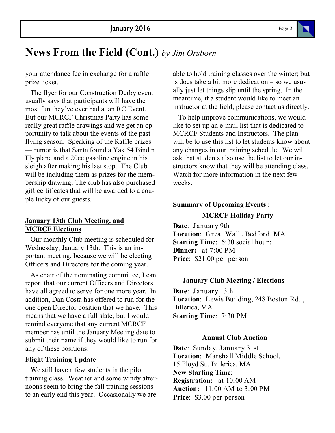# **News From the Field (Cont.)** *by Jim Orsborn*

your attendance fee in exchange for a raffle prize ticket.

 The flyer for our Construction Derby event usually says that participants will have the most fun they've ever had at an RC Event. But our MCRCF Christmas Party has some really great raffle drawings and we get an opportunity to talk about the events of the past flying season. Speaking of the Raffle prizes — rumor is that Santa found a Yak 54 Bind n Fly plane and a 20cc gasoline engine in his sleigh after making his last stop. The Club will be including them as prizes for the membership drawing; The club has also purchased gift certificates that will be awarded to a couple lucky of our guests.

#### **January 13th Club Meeting, and MCRCF Elections**

 Our monthly Club meeting is scheduled for Wednesday, January 13th. This is an important meeting, because we will be electing Officers and Directors for the coming year.

 As chair of the nominating committee, I can report that our current Officers and Directors have all agreed to serve for one more year. In addition, Dan Costa has offered to run for the one open Director position that we have. This means that we have a full slate; but I would remind everyone that any current MCRCF member has until the January Meeting date to submit their name if they would like to run for any of these positions.

#### **Flight Training Update**

 We still have a few students in the pilot training class. Weather and some windy afternoons seem to bring the fall training sessions to an early end this year. Occasionally we are

able to hold training classes over the winter; but is does take a bit more dedication – so we usually just let things slip until the spring. In the meantime, if a student would like to meet an instructor at the field, please contact us directly.

 To help improve communications, we would like to set up an e-mail list that is dedicated to MCRCF Students and Instructors. The plan will be to use this list to let students know about any changes in our training schedule. We will ask that students also use the list to let our instructors know that they will be attending class. Watch for more information in the next few weeks.

### **Summary of Upcoming Events : MCRCF Holiday Party**

**Date**: January 9th **Location**: Great Wall , Bedford, MA **Starting Time:** 6:30 social hour; **Dinner:** at 7:00 PM **Price**: \$21.00 per person

#### **January Club Meeting / Elections**

**Date**: January 13th **Location**: Lewis Building, 248 Boston Rd. , Billerica, MA **Starting Time**: 7:30 PM

#### **Annual Club Auction**

**Date**: Sunday, January 31st **Location**: Marshall Middle School, 15 Floyd St., Billerica, MA **New Starting Time**: **Registration:** at 10:00 AM **Auction:** 11:00 AM to 3:00 PM **Price**: \$3.00 per person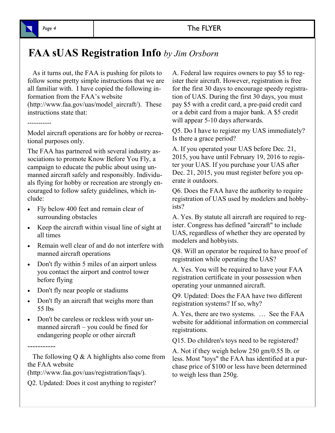

# **FAA sUAS Registration Info** *by Jim Orsborn*

 As it turns out, the FAA is pushing for pilots to follow some pretty simple instructions that we are all familiar with. I have copied the following information from the FAA's website

(http://www.faa.gov/uas/model\_aircraft/). These instructions state that:

Model aircraft operations are for hobby or recreational purposes only.

The FAA has partnered with several industry associations to promote Know Before You Fly, a campaign to educate the public about using unmanned aircraft safely and responsibly. Individuals flying for hobby or recreation are strongly encouraged to follow safety guidelines, which include:

- Fly below 400 feet and remain clear of surrounding obstacles
- Keep the aircraft within visual line of sight at all times
- Remain well clear of and do not interfere with manned aircraft operations
- Don't fly within 5 miles of an airport unless you contact the airport and control tower before flying
- Don't fly near people or stadiums
- Don't fly an aircraft that weighs more than 55 lbs
- Don't be careless or reckless with your unmanned aircraft – you could be fined for endangering people or other aircraft

The following  $Q \& A$  highlights also come from the FAA website

(http://www.faa.gov/uas/registration/faqs/).

Q2. Updated: Does it cost anything to register?

A. Federal law requires owners to pay \$5 to register their aircraft. However, registration is free for the first 30 days to encourage speedy registration of UAS. During the first 30 days, you must pay \$5 with a credit card, a pre-paid credit card or a debit card from a major bank. A \$5 credit will appear 5-10 days afterwards.

Q5. Do I have to register my UAS immediately? Is there a grace period?

A. If you operated your UAS before Dec. 21, 2015, you have until February 19, 2016 to register your UAS. If you purchase your UAS after Dec. 21, 2015, you must register before you operate it outdoors.

Q6. Does the FAA have the authority to require registration of UAS used by modelers and hobbyists?

A. Yes. By statute all aircraft are required to register. Congress has defined "aircraft" to include UAS, regardless of whether they are operated by modelers and hobbyists.

Q8. Will an operator be required to have proof of registration while operating the UAS?

A. Yes. You will be required to have your FAA registration certificate in your possession when operating your unmanned aircraft.

Q9. Updated: Does the FAA have two different registration systems? If so, why?

A. Yes, there are two systems. … See the FAA website for additional information on commercial registrations.

Q15. Do children's toys need to be registered?

A. Not if they weigh below 250 gm/0.55 lb. or less. Most "toys" the FAA has identified at a purchase price of \$100 or less have been determined to weigh less than 250g.

-----------

-----------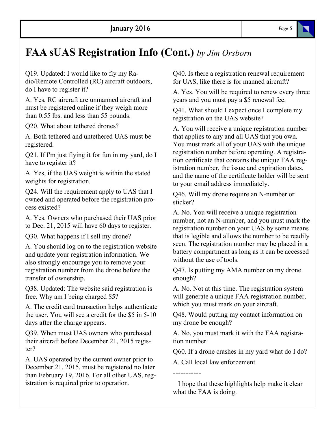# **FAA sUAS Registration Info (Cont.)** *by Jim Orsborn*

Q19. Updated: I would like to fly my Radio/Remote Controlled (RC) aircraft outdoors, do I have to register it?

A. Yes, RC aircraft are unmanned aircraft and must be registered online if they weigh more than 0.55 lbs. and less than 55 pounds.

Q20. What about tethered drones?

A. Both tethered and untethered UAS must be registered.

Q21. If I'm just flying it for fun in my yard, do I have to register it?

A. Yes, if the UAS weight is within the stated weights for registration.

Q24. Will the requirement apply to UAS that I owned and operated before the registration process existed?

A. Yes. Owners who purchased their UAS prior to Dec. 21, 2015 will have 60 days to register.

Q30. What happens if I sell my drone?

A. You should log on to the registration website and update your registration information. We also strongly encourage you to remove your registration number from the drone before the transfer of ownership.

Q38. Updated: The website said registration is free. Why am I being charged \$5?

A. The credit card transaction helps authenticate the user. You will see a credit for the \$5 in 5-10 days after the charge appears.

Q39. When must UAS owners who purchased their aircraft before December 21, 2015 register?

A. UAS operated by the current owner prior to December 21, 2015, must be registered no later than February 19, 2016. For all other UAS, registration is required prior to operation.

Q40. Is there a registration renewal requirement for UAS, like there is for manned aircraft?

A. Yes. You will be required to renew every three years and you must pay a \$5 renewal fee.

Q41. What should I expect once I complete my registration on the UAS website?

A. You will receive a unique registration number that applies to any and all UAS that you own. You must mark all of your UAS with the unique registration number before operating. A registration certificate that contains the unique FAA registration number, the issue and expiration dates, and the name of the certificate holder will be sent to your email address immediately.

Q46. Will my drone require an N-number or sticker?

A. No. You will receive a unique registration number, not an N-number, and you must mark the registration number on your UAS by some means that is legible and allows the number to be readily seen. The registration number may be placed in a battery compartment as long as it can be accessed without the use of tools.

Q47. Is putting my AMA number on my drone enough?

A. No. Not at this time. The registration system will generate a unique FAA registration number, which you must mark on your aircraft.

Q48. Would putting my contact information on my drone be enough?

A. No, you must mark it with the FAA registration number.

Q60. If a drone crashes in my yard what do I do?

A. Call local law enforcement.

-----------

 I hope that these highlights help make it clear what the FAA is doing.